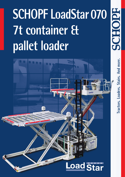## **SCHOPF LoadStar 070 7t container & pallet loader**



**Tractors. Loaders. Stairs. And more.**

Tractors. Loaders. Stairs. And more.

2660195